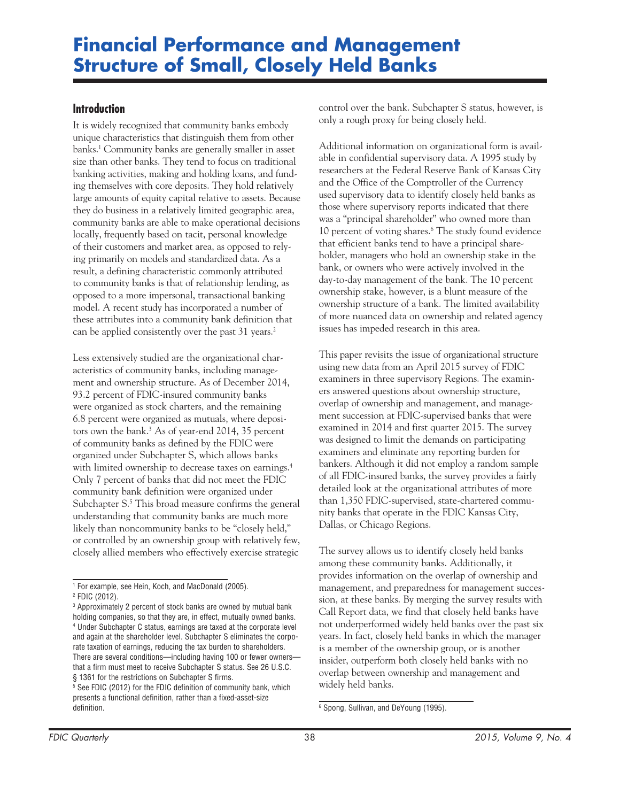## **Introduction**

It is widely recognized that community banks embody unique characteristics that distinguish them from other banks.1 Community banks are generally smaller in asset size than other banks. They tend to focus on traditional banking activities, making and holding loans, and funding themselves with core deposits. They hold relatively large amounts of equity capital relative to assets. Because they do business in a relatively limited geographic area, community banks are able to make operational decisions locally, frequently based on tacit, personal knowledge of their customers and market area, as opposed to relying primarily on models and standardized data. As a result, a defining characteristic commonly attributed to community banks is that of relationship lending, as opposed to a more impersonal, transactional banking model. A recent study has incorporated a number of these attributes into a community bank definition that can be applied consistently over the past 31 years.<sup>2</sup>

Less extensively studied are the organizational characteristics of community banks, including management and ownership structure. As of December 2014, 93.2 percent of FDIC-insured community banks were organized as stock charters, and the remaining 6.8 percent were organized as mutuals, where depositors own the bank.<sup>3</sup> As of year-end 2014, 35 percent of community banks as defined by the FDIC were organized under Subchapter S, which allows banks with limited ownership to decrease taxes on earnings.<sup>4</sup> Only 7 percent of banks that did not meet the FDIC community bank definition were organized under Subchapter S.<sup>5</sup> This broad measure confirms the general understanding that community banks are much more likely than noncommunity banks to be "closely held," or controlled by an ownership group with relatively few, closely allied members who effectively exercise strategic

control over the bank. Subchapter S status, however, is only a rough proxy for being closely held.

Additional information on organizational form is available in confidential supervisory data. A 1995 study by researchers at the Federal Reserve Bank of Kansas City and the Office of the Comptroller of the Currency used supervisory data to identify closely held banks as those where supervisory reports indicated that there was a "principal shareholder" who owned more than 10 percent of voting shares.<sup>6</sup> The study found evidence that efficient banks tend to have a principal shareholder, managers who hold an ownership stake in the bank, or owners who were actively involved in the day-to-day management of the bank. The 10 percent ownership stake, however, is a blunt measure of the ownership structure of a bank. The limited availability of more nuanced data on ownership and related agency issues has impeded research in this area.

This paper revisits the issue of organizational structure using new data from an April 2015 survey of FDIC examiners in three supervisory Regions. The examiners answered questions about ownership structure, overlap of ownership and management, and management succession at FDIC-supervised banks that were examined in 2014 and first quarter 2015. The survey was designed to limit the demands on participating examiners and eliminate any reporting burden for bankers. Although it did not employ a random sample of all FDIC-insured banks, the survey provides a fairly detailed look at the organizational attributes of more than 1,350 FDIC-supervised, state-chartered community banks that operate in the FDIC Kansas City, Dallas, or Chicago Regions.

The survey allows us to identify closely held banks among these community banks. Additionally, it provides information on the overlap of ownership and management, and preparedness for management succession, at these banks. By merging the survey results with Call Report data, we find that closely held banks have not underperformed widely held banks over the past six years. In fact, closely held banks in which the manager is a member of the ownership group, or is another insider, outperform both closely held banks with no overlap between ownership and management and widely held banks.

<sup>1</sup> For example, see Hein, Koch, and MacDonald (2005).

<sup>2</sup> FDIC (2012).

<sup>3</sup> Approximately 2 percent of stock banks are owned by mutual bank holding companies, so that they are, in effect, mutually owned banks. 4 Under Subchapter C status, earnings are taxed at the corporate level and again at the shareholder level. Subchapter S eliminates the corporate taxation of earnings, reducing the tax burden to shareholders. There are several conditions—including having 100 or fewer owners that a firm must meet to receive Subchapter S status. See 26 U.S.C. § 1361 for the restrictions on Subchapter S firms.

<sup>5</sup> See FDIC (2012) for the FDIC definition of community bank, which presents a functional definition, rather than a fixed-asset-size definition.

<sup>6</sup> Spong, Sullivan, and DeYoung (1995).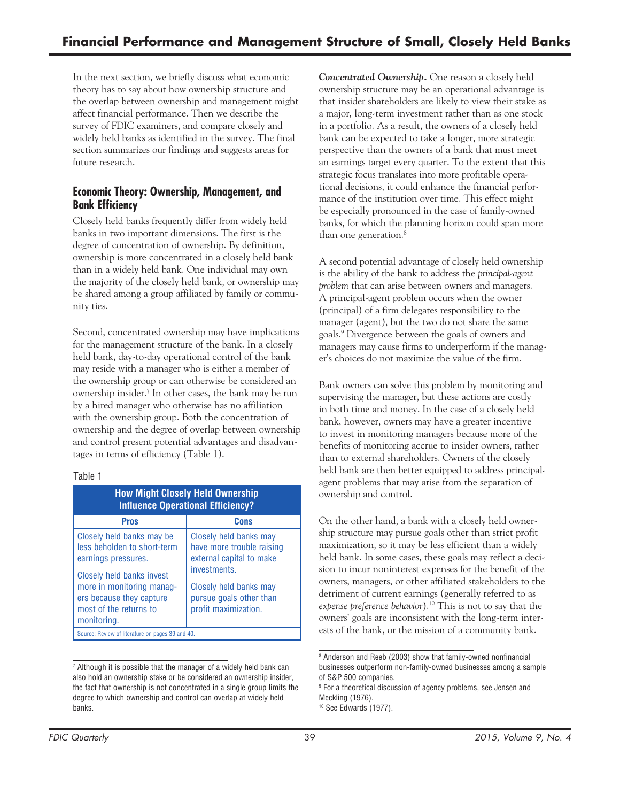In the next section, we briefly discuss what economic theory has to say about how ownership structure and the overlap between ownership and management might affect financial performance. Then we describe the survey of FDIC examiners, and compare closely and widely held banks as identified in the survey. The final section summarizes our findings and suggests areas for future research.

## **Economic Theory: Ownership, Management, and Bank Efficiency**

Closely held banks frequently differ from widely held banks in two important dimensions. The first is the degree of concentration of ownership. By definition, ownership is more concentrated in a closely held bank than in a widely held bank. One individual may own the majority of the closely held bank, or ownership may be shared among a group affiliated by family or community ties.

Second, concentrated ownership may have implications for the management structure of the bank. In a closely held bank, day-to-day operational control of the bank may reside with a manager who is either a member of the ownership group or can otherwise be considered an ownership insider.7 In other cases, the bank may be run by a hired manager who otherwise has no affiliation with the ownership group. Both the concentration of ownership and the degree of overlap between ownership and control present potential advantages and disadvantages in terms of efficiency (Table 1).

### Table 1

| <b>How Might Closely Held Ownership</b><br><b>Influence Operational Efficiency?</b>                                                                                                                            |                                                                                                                                                                              |  |  |
|----------------------------------------------------------------------------------------------------------------------------------------------------------------------------------------------------------------|------------------------------------------------------------------------------------------------------------------------------------------------------------------------------|--|--|
| Cons<br><b>Pros</b>                                                                                                                                                                                            |                                                                                                                                                                              |  |  |
| Closely held banks may be<br>less beholden to short-term<br>earnings pressures.<br>Closely held banks invest<br>more in monitoring manag-<br>ers because they capture<br>most of the returns to<br>monitoring. | Closely held banks may<br>have more trouble raising<br>external capital to make<br>investments.<br>Closely held banks may<br>pursue goals other than<br>profit maximization. |  |  |
| Source: Review of literature on pages 39 and 40.                                                                                                                                                               |                                                                                                                                                                              |  |  |

 $^7$  Although it is possible that the manager of a widely held bank can also hold an ownership stake or be considered an ownership insider, the fact that ownership is not concentrated in a single group limits the degree to which ownership and control can overlap at widely held banks.

*Concentrated Ownership.* One reason a closely held ownership structure may be an operational advantage is that insider shareholders are likely to view their stake as a major, long-term investment rather than as one stock in a portfolio. As a result, the owners of a closely held bank can be expected to take a longer, more strategic perspective than the owners of a bank that must meet an earnings target every quarter. To the extent that this strategic focus translates into more profitable operational decisions, it could enhance the financial performance of the institution over time. This effect might be especially pronounced in the case of family-owned banks, for which the planning horizon could span more than one generation.<sup>8</sup>

A second potential advantage of closely held ownership is the ability of the bank to address the *principal-agent problem* that can arise between owners and managers. A principal-agent problem occurs when the owner (principal) of a firm delegates responsibility to the manager (agent), but the two do not share the same goals.9 Divergence between the goals of owners and managers may cause firms to underperform if the manager's choices do not maximize the value of the firm.

Bank owners can solve this problem by monitoring and supervising the manager, but these actions are costly in both time and money. In the case of a closely held bank, however, owners may have a greater incentive to invest in monitoring managers because more of the benefits of monitoring accrue to insider owners, rather than to external shareholders. Owners of the closely held bank are then better equipped to address principalagent problems that may arise from the separation of ownership and control.

On the other hand, a bank with a closely held ownership structure may pursue goals other than strict profit maximization, so it may be less efficient than a widely held bank. In some cases, these goals may reflect a decision to incur noninterest expenses for the benefit of the owners, managers, or other affiliated stakeholders to the detriment of current earnings (generally referred to as *expense preference behavior*).10 This is not to say that the owners' goals are inconsistent with the long-term interests of the bank, or the mission of a community bank.

<sup>&</sup>lt;sup>8</sup> Anderson and Reeb (2003) show that family-owned nonfinancial businesses outperform non-family-owned businesses among a sample of S&P 500 companies.

<sup>9</sup> For a theoretical discussion of agency problems, see Jensen and Meckling (1976).

<sup>10</sup> See Edwards (1977).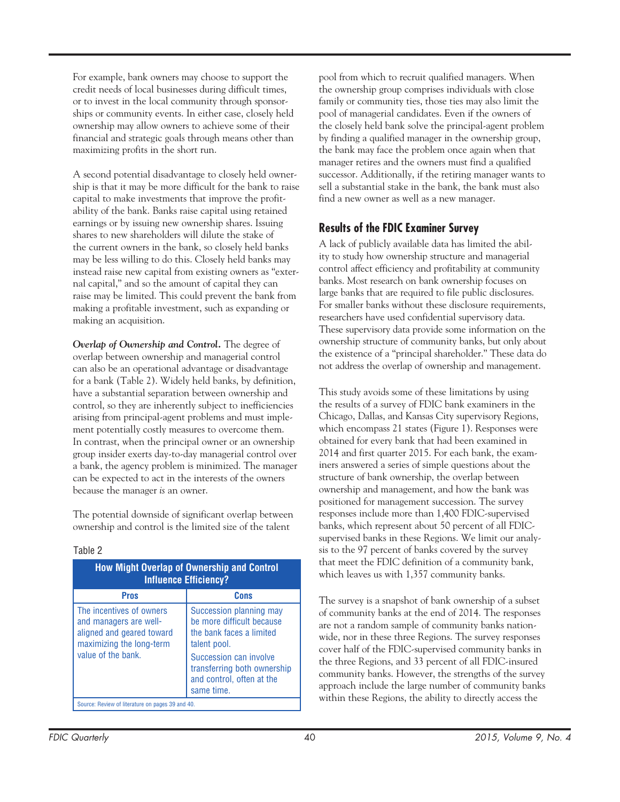For example, bank owners may choose to support the credit needs of local businesses during difficult times, or to invest in the local community through sponsorships or community events. In either case, closely held ownership may allow owners to achieve some of their financial and strategic goals through means other than maximizing profits in the short run.

A second potential disadvantage to closely held ownership is that it may be more difficult for the bank to raise capital to make investments that improve the profitability of the bank. Banks raise capital using retained earnings or by issuing new ownership shares. Issuing shares to new shareholders will dilute the stake of the current owners in the bank, so closely held banks may be less willing to do this. Closely held banks may instead raise new capital from existing owners as "external capital," and so the amount of capital they can raise may be limited. This could prevent the bank from making a profitable investment, such as expanding or making an acquisition.

*Overlap of Ownership and Control.* The degree of overlap between ownership and managerial control can also be an operational advantage or disadvantage for a bank (Table 2). Widely held banks, by definition, have a substantial separation between ownership and control, so they are inherently subject to inefficiencies arising from principal-agent problems and must implement potentially costly measures to overcome them. In contrast, when the principal owner or an ownership group insider exerts day-to-day managerial control over a bank, the agency problem is minimized. The manager can be expected to act in the interests of the owners because the manager *is* an owner.

The potential downside of significant overlap between ownership and control is the limited size of the talent

| <b>How Might Overlap of Ownership and Control</b><br><b>Influence Efficiency?</b>                                                 |                                                                                                                                                                                                      |  |  |
|-----------------------------------------------------------------------------------------------------------------------------------|------------------------------------------------------------------------------------------------------------------------------------------------------------------------------------------------------|--|--|
| Cons<br><b>Pros</b>                                                                                                               |                                                                                                                                                                                                      |  |  |
| The incentives of owners<br>and managers are well-<br>aligned and geared toward<br>maximizing the long-term<br>value of the bank. | Succession planning may<br>be more difficult because<br>the bank faces a limited<br>talent pool.<br>Succession can involve<br>transferring both ownership<br>and control, often at the<br>same time. |  |  |
| Source: Review of literature on pages 39 and 40.                                                                                  |                                                                                                                                                                                                      |  |  |

### Table 2

pool from which to recruit qualified managers. When the ownership group comprises individuals with close family or community ties, those ties may also limit the pool of managerial candidates. Even if the owners of the closely held bank solve the principal-agent problem by finding a qualified manager in the ownership group, the bank may face the problem once again when that manager retires and the owners must find a qualified successor. Additionally, if the retiring manager wants to sell a substantial stake in the bank, the bank must also find a new owner as well as a new manager.

# **Results of the FDIC Examiner Survey**

A lack of publicly available data has limited the ability to study how ownership structure and managerial control affect efficiency and profitability at community banks. Most research on bank ownership focuses on large banks that are required to file public disclosures. For smaller banks without these disclosure requirements, researchers have used confidential supervisory data. These supervisory data provide some information on the ownership structure of community banks, but only about the existence of a "principal shareholder." These data do not address the overlap of ownership and management.

This study avoids some of these limitations by using the results of a survey of FDIC bank examiners in the Chicago, Dallas, and Kansas City supervisory Regions, which encompass 21 states (Figure 1). Responses were obtained for every bank that had been examined in 2014 and first quarter 2015. For each bank, the examiners answered a series of simple questions about the structure of bank ownership, the overlap between ownership and management, and how the bank was positioned for management succession. The survey responses include more than 1,400 FDIC-supervised banks, which represent about 50 percent of all FDICsupervised banks in these Regions. We limit our analysis to the 97 percent of banks covered by the survey that meet the FDIC definition of a community bank, which leaves us with 1,357 community banks.

The survey is a snapshot of bank ownership of a subset of community banks at the end of 2014. The responses are not a random sample of community banks nationwide, nor in these three Regions. The survey responses cover half of the FDIC-supervised community banks in the three Regions, and 33 percent of all FDIC-insured community banks. However, the strengths of the survey approach include the large number of community banks within these Regions, the ability to directly access the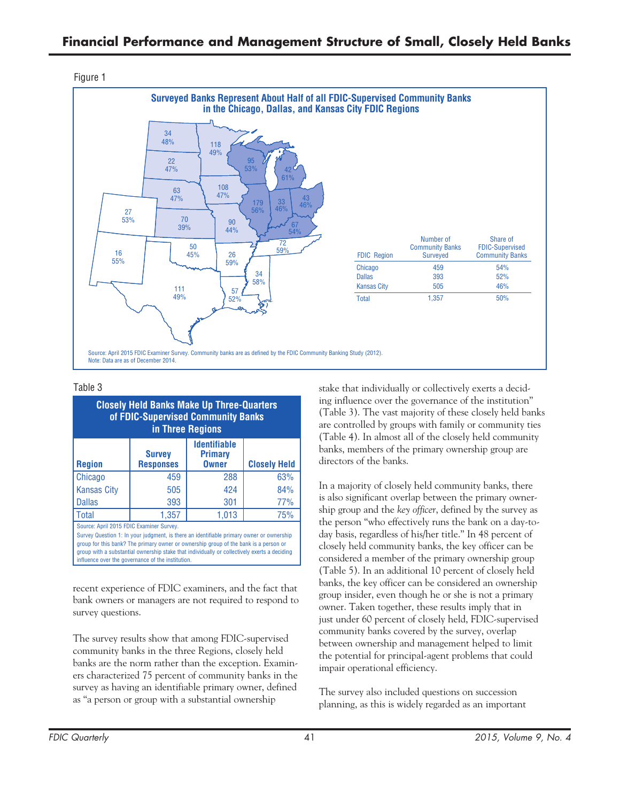

Figure 1

#### Table 3

| <b>Closely Held Banks Make Up Three-Quarters</b><br>of FDIC-Supervised Community Banks<br>in Three Regions                                                  |                                                                                                                   |       |     |  |
|-------------------------------------------------------------------------------------------------------------------------------------------------------------|-------------------------------------------------------------------------------------------------------------------|-------|-----|--|
| <b>Region</b>                                                                                                                                               | <b>Identifiable</b><br><b>Survey</b><br><b>Primary</b><br><b>Closely Held</b><br><b>Responses</b><br><b>Owner</b> |       |     |  |
| Chicago                                                                                                                                                     | 459                                                                                                               | 288   | 63% |  |
| <b>Kansas City</b>                                                                                                                                          | 505                                                                                                               | 424   | 84% |  |
| <b>Dallas</b>                                                                                                                                               | 393                                                                                                               | 301   | 77% |  |
| <b>Total</b>                                                                                                                                                | 1,357                                                                                                             | 1,013 | 75% |  |
| Source: April 2015 FDIC Examiner Survey.<br>the contract of the contract of the contract of the contract of the contract of the contract of the contract of |                                                                                                                   |       |     |  |

Survey Question 1: In your judgment, is there an identifiable primary owner or ownership group for this bank? The primary owner or ownership group of the bank is a person or group with a substantial ownership stake that individually or collectively exerts a deciding influence over the governance of the institution.

recent experience of FDIC examiners, and the fact that bank owners or managers are not required to respond to survey questions.

The survey results show that among FDIC-supervised community banks in the three Regions, closely held banks are the norm rather than the exception. Examiners characterized 75 percent of community banks in the survey as having an identifiable primary owner, defined as "a person or group with a substantial ownership

stake that individually or collectively exerts a deciding influence over the governance of the institution" (Table 3). The vast majority of these closely held banks are controlled by groups with family or community ties (Table 4). In almost all of the closely held community banks, members of the primary ownership group are directors of the banks.

In a majority of closely held community banks, there is also significant overlap between the primary ownership group and the *key officer*, defined by the survey as the person "who effectively runs the bank on a day-today basis, regardless of his/her title." In 48 percent of closely held community banks, the key officer can be considered a member of the primary ownership group (Table 5). In an additional 10 percent of closely held banks, the key officer can be considered an ownership group insider, even though he or she is not a primary owner. Taken together, these results imply that in just under 60 percent of closely held, FDIC-supervised community banks covered by the survey, overlap between ownership and management helped to limit the potential for principal-agent problems that could impair operational efficiency.

The survey also included questions on succession planning, as this is widely regarded as an important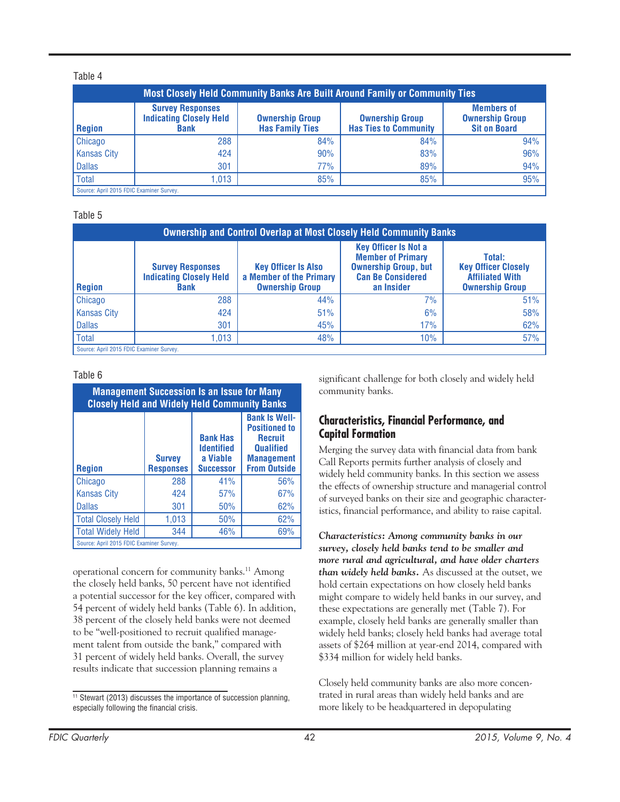#### Table 4

| Most Closely Held Community Banks Are Built Around Family or Community Ties |                                                                          |                                                  |                                                        |                                                                    |
|-----------------------------------------------------------------------------|--------------------------------------------------------------------------|--------------------------------------------------|--------------------------------------------------------|--------------------------------------------------------------------|
| <b>Region</b>                                                               | <b>Survey Responses</b><br><b>Indicating Closely Held</b><br><b>Bank</b> | <b>Ownership Group</b><br><b>Has Family Ties</b> | <b>Ownership Group</b><br><b>Has Ties to Community</b> | <b>Members of</b><br><b>Ownership Group</b><br><b>Sit on Board</b> |
| <b>Chicago</b>                                                              | 288                                                                      | 84%                                              | 84%                                                    | 94%                                                                |
| <b>Kansas City</b>                                                          | 424                                                                      | 90%                                              | 83%                                                    | 96%                                                                |
| <b>Dallas</b>                                                               | 301                                                                      | 77%                                              | 89%                                                    | 94%                                                                |
| Total                                                                       | 1.013                                                                    | 85%                                              | 85%                                                    | 95%                                                                |
| Source: April 2015 FDIC Examiner Survey.                                    |                                                                          |                                                  |                                                        |                                                                    |

#### Table 5

| <b>Ownership and Control Overlap at Most Closely Held Community Banks</b> |                                                                          |                                                                                                                                                                                                                                                                                                                 |     |     |
|---------------------------------------------------------------------------|--------------------------------------------------------------------------|-----------------------------------------------------------------------------------------------------------------------------------------------------------------------------------------------------------------------------------------------------------------------------------------------------------------|-----|-----|
| <b>Region</b>                                                             | <b>Survey Responses</b><br><b>Indicating Closely Held</b><br><b>Bank</b> | <b>Key Officer Is Not a</b><br><b>Member of Primary</b><br>Total:<br><b>Key Officer Closely</b><br><b>Key Officer Is Also</b><br><b>Ownership Group, but</b><br>a Member of the Primary<br><b>Can Be Considered</b><br><b>Affiliated With</b><br><b>Ownership Group</b><br>an Insider<br><b>Ownership Group</b> |     |     |
| Chicago                                                                   | 288                                                                      | 44%                                                                                                                                                                                                                                                                                                             | 7%  | 51% |
| <b>Kansas City</b>                                                        | 424                                                                      | 51%                                                                                                                                                                                                                                                                                                             | 6%  | 58% |
| <b>Dallas</b>                                                             | 301                                                                      | 45%                                                                                                                                                                                                                                                                                                             | 17% | 62% |
| <b>Total</b>                                                              | 1.013                                                                    | 48%                                                                                                                                                                                                                                                                                                             | 10% | 57% |
|                                                                           | Source: April 2015 FDIC Examiner Survey.                                 |                                                                                                                                                                                                                                                                                                                 |     |     |

### Table 6

| <b>Management Succession Is an Issue for Many</b><br><b>Closely Held and Widely Held Community Banks</b> |                                   |                                                                      |                                                                                                                                |
|----------------------------------------------------------------------------------------------------------|-----------------------------------|----------------------------------------------------------------------|--------------------------------------------------------------------------------------------------------------------------------|
| <b>Region</b>                                                                                            | <b>Survey</b><br><b>Responses</b> | <b>Bank Has</b><br><b>Identified</b><br>a Viable<br><b>Successor</b> | <b>Bank Is Well-</b><br><b>Positioned to</b><br><b>Recruit</b><br><b>Qualified</b><br><b>Management</b><br><b>From Outside</b> |
| Chicago                                                                                                  | 288                               | 41%                                                                  | 56%                                                                                                                            |
| <b>Kansas City</b>                                                                                       | 424                               | 57%                                                                  | 67%                                                                                                                            |
| <b>Dallas</b>                                                                                            | 301                               | 50%                                                                  | 62%                                                                                                                            |
| <b>Total Closely Held</b>                                                                                | 1.013                             | 50%                                                                  | 62%                                                                                                                            |
| <b>Total Widely Held</b>                                                                                 | 344                               | 46%                                                                  | 69%                                                                                                                            |
| Source: April 2015 FDIC Examiner Survey.                                                                 |                                   |                                                                      |                                                                                                                                |

operational concern for community banks.11 Among the closely held banks, 50 percent have not identified a potential successor for the key officer, compared with 54 percent of widely held banks (Table 6). In addition, 38 percent of the closely held banks were not deemed to be "well-positioned to recruit qualified management talent from outside the bank," compared with 31 percent of widely held banks. Overall, the survey results indicate that succession planning remains a

significant challenge for both closely and widely held community banks.

## **Characteristics, Financial Performance, and Capital Formation**

Merging the survey data with financial data from bank Call Reports permits further analysis of closely and widely held community banks. In this section we assess the effects of ownership structure and managerial control of surveyed banks on their size and geographic characteristics, financial performance, and ability to raise capital.

*Characteristics: Among community banks in our survey, closely held banks tend to be smaller and more rural and agricultural, and have older charters than widely held banks.* As discussed at the outset, we hold certain expectations on how closely held banks might compare to widely held banks in our survey, and these expectations are generally met (Table 7). For example, closely held banks are generally smaller than widely held banks; closely held banks had average total assets of \$264 million at year-end 2014, compared with \$334 million for widely held banks.

Closely held community banks are also more concentrated in rural areas than widely held banks and are more likely to be headquartered in depopulating

<sup>&</sup>lt;sup>11</sup> Stewart (2013) discusses the importance of succession planning, especially following the financial crisis.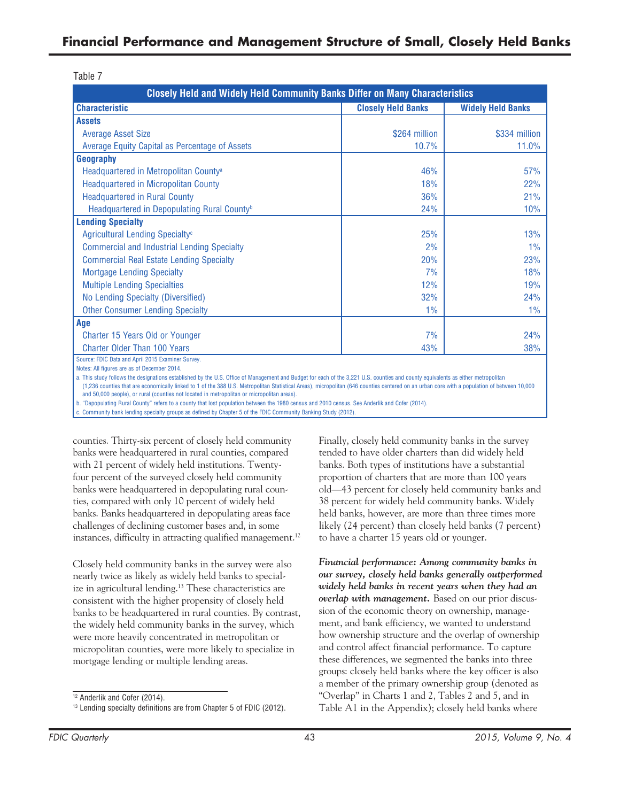| . .<br>۰ | ×<br>I |  |
|----------|--------|--|
|          |        |  |

| <b>Closely Held and Widely Held Community Banks Differ on Many Characteristics</b>                                                                                                                                                                                                                                                |                           |                          |
|-----------------------------------------------------------------------------------------------------------------------------------------------------------------------------------------------------------------------------------------------------------------------------------------------------------------------------------|---------------------------|--------------------------|
| <b>Characteristic</b>                                                                                                                                                                                                                                                                                                             | <b>Closely Held Banks</b> | <b>Widely Held Banks</b> |
| <b>Assets</b>                                                                                                                                                                                                                                                                                                                     |                           |                          |
| <b>Average Asset Size</b>                                                                                                                                                                                                                                                                                                         | \$264 million             | \$334 million            |
| Average Equity Capital as Percentage of Assets                                                                                                                                                                                                                                                                                    | 10.7%                     | 11.0%                    |
| <b>Geography</b>                                                                                                                                                                                                                                                                                                                  |                           |                          |
| Headquartered in Metropolitan County <sup>a</sup>                                                                                                                                                                                                                                                                                 | 46%                       | 57%                      |
| <b>Headquartered in Micropolitan County</b>                                                                                                                                                                                                                                                                                       | 18%                       | 22%                      |
| <b>Headquartered in Rural County</b>                                                                                                                                                                                                                                                                                              | 36%                       | 21%                      |
| Headquartered in Depopulating Rural County <sup>b</sup>                                                                                                                                                                                                                                                                           | 24%                       | 10%                      |
| <b>Lending Specialty</b>                                                                                                                                                                                                                                                                                                          |                           |                          |
| Agricultural Lending Specialty <sup>c</sup>                                                                                                                                                                                                                                                                                       | 25%                       | 13%                      |
| <b>Commercial and Industrial Lending Specialty</b>                                                                                                                                                                                                                                                                                | 2%                        | 1%                       |
| <b>Commercial Real Estate Lending Specialty</b>                                                                                                                                                                                                                                                                                   | 20%                       | 23%                      |
| <b>Mortgage Lending Specialty</b>                                                                                                                                                                                                                                                                                                 | 7%                        | 18%                      |
| <b>Multiple Lending Specialties</b>                                                                                                                                                                                                                                                                                               | 12%                       | 19%                      |
| No Lending Specialty (Diversified)                                                                                                                                                                                                                                                                                                | 32%                       | 24%                      |
| <b>Other Consumer Lending Specialty</b>                                                                                                                                                                                                                                                                                           | $1\%$                     | 1%                       |
| Age                                                                                                                                                                                                                                                                                                                               |                           |                          |
| Charter 15 Years Old or Younger                                                                                                                                                                                                                                                                                                   | 7%                        | 24%                      |
| <b>Charter Older Than 100 Years</b>                                                                                                                                                                                                                                                                                               | 43%                       | 38%                      |
| Source: FDIC Data and April 2015 Examiner Survey.<br>Notes: All figures are as of December 2014.<br>the company of the company of the company of the company of the company of the company of the company of the company of the company of the company of the company of the company of the company of the company of the company |                           |                          |

This study follows the designations established by the U.S. Office of Management and Budget for each of the 3.221 U.S. counties and county equivalents as either metropolitants as either metropolitants.

(1,236 counties that are economically linked to 1 of the 388 U.S. Metropolitan Statistical Areas), micropolitan (646 counties centered on an urban core with a population of between 10,000 and 50,000 people), or rural (counties not located in metropolitan or micropolitan areas).

b. "Depopulating Rural County" refers to a county that lost population between the 1980 census and 2010 census. See Anderlik and Cofer (2014).

c. Community bank lending specialty groups as defined by Chapter 5 of the FDIC Community Banking Study (2012).

counties. Thirty-six percent of closely held community banks were headquartered in rural counties, compared with 21 percent of widely held institutions. Twentyfour percent of the surveyed closely held community banks were headquartered in depopulating rural counties, compared with only 10 percent of widely held banks. Banks headquartered in depopulating areas face challenges of declining customer bases and, in some instances, difficulty in attracting qualified management.<sup>12</sup>

Closely held community banks in the survey were also nearly twice as likely as widely held banks to specialize in agricultural lending.13 These characteristics are consistent with the higher propensity of closely held banks to be headquartered in rural counties. By contrast, the widely held community banks in the survey, which were more heavily concentrated in metropolitan or micropolitan counties, were more likely to specialize in mortgage lending or multiple lending areas.

Finally, closely held community banks in the survey tended to have older charters than did widely held banks. Both types of institutions have a substantial proportion of charters that are more than 100 years old—43 percent for closely held community banks and 38 percent for widely held community banks. Widely held banks, however, are more than three times more likely (24 percent) than closely held banks (7 percent) to have a charter 15 years old or younger.

*Financial performance: Among community banks in our survey, closely held banks generally outperformed widely held banks in recent years when they had an overlap with management.* Based on our prior discussion of the economic theory on ownership, management, and bank efficiency, we wanted to understand how ownership structure and the overlap of ownership and control affect financial performance. To capture these differences, we segmented the banks into three groups: closely held banks where the key officer is also a member of the primary ownership group (denoted as "Overlap" in Charts 1 and 2, Tables 2 and 5, and in Table A1 in the Appendix); closely held banks where

<sup>&</sup>lt;sup>12</sup> Anderlik and Cofer (2014).

<sup>13</sup> Lending specialty definitions are from Chapter 5 of FDIC (2012).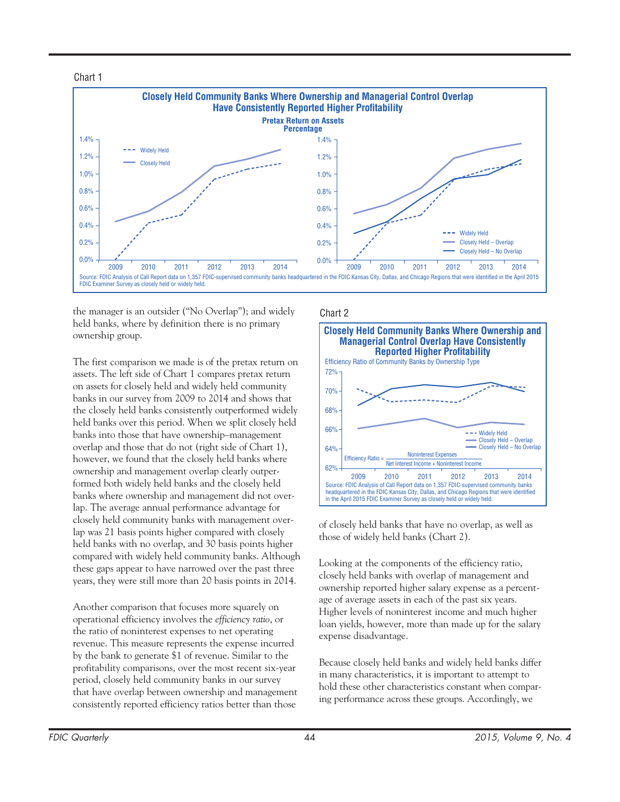



the manager is an outsider ("No Overlap"); and widely held banks, where by definition there is no primary ownership group.

The first comparison we made is of the pretax return on assets. The left side of Chart 1 compares pretax return on assets for closely held and widely held community banks in our survey from 2009 to 2014 and shows that the closely held banks consistently outperformed widely held banks over this period. When we split closely held banks into those that have ownership–management overlap and those that do not (right side of Chart 1), however, we found that the closely held banks where ownership and management overlap clearly outperformed both widely held banks and the closely held banks where ownership and management did not overlap. The average annual performance advantage for closely held community banks with management overlap was 21 basis points higher compared with closely held banks with no overlap, and 30 basis points higher compared with widely held community banks. Although these gaps appear to have narrowed over the past three years, they were still more than 20 basis points in 2014.

Another comparison that focuses more squarely on operational efficiency involves the *efficiency ratio*, or the ratio of noninterest expenses to net operating revenue. This measure represents the expense incurred by the bank to generate \$1 of revenue. Similar to the profitability comparisons, over the most recent six-year period, closely held community banks in our survey that have overlap between ownership and management consistently reported efficiency ratios better than those





of closely held banks that have no overlap, as well as those of widely held banks (Chart 2).

Looking at the components of the efficiency ratio, closely held banks with overlap of management and ownership reported higher salary expense as a percentage of average assets in each of the past six years. Higher levels of noninterest income and much higher loan yields, however, more than made up for the salary expense disadvantage.

Because closely held banks and widely held banks differ in many characteristics, it is important to attempt to hold these other characteristics constant when comparing performance across these groups. Accordingly, we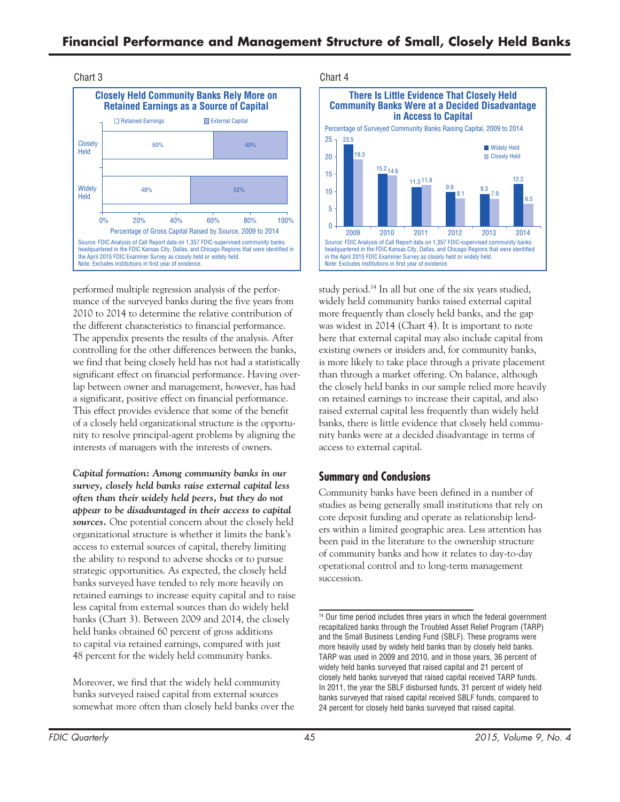

performed multiple regression analysis of the performance of the surveyed banks during the five years from 2010 to 2014 to determine the relative contribution of the different characteristics to financial performance. The appendix presents the results of the analysis. After controlling for the other differences between the banks, we find that being closely held has not had a statistically significant effect on financial performance. Having overlap between owner and management, however, has had a significant, positive effect on financial performance. This effect provides evidence that some of the benefit of a closely held organizational structure is the opportunity to resolve principal-agent problems by aligning the interests of managers with the interests of owners.

*Capital formation: Among community banks in our survey, closely held banks raise external capital less often than their widely held peers, but they do not appear to be disadvantaged in their access to capital sources.* One potential concern about the closely held organizational structure is whether it limits the bank's access to external sources of capital, thereby limiting the ability to respond to adverse shocks or to pursue strategic opportunities. As expected, the closely held banks surveyed have tended to rely more heavily on retained earnings to increase equity capital and to raise less capital from external sources than do widely held banks (Chart 3). Between 2009 and 2014, the closely held banks obtained 60 percent of gross additions to capital via retained earnings, compared with just 48 percent for the widely held community banks.

Moreover, we find that the widely held community banks surveyed raised capital from external sources somewhat more often than closely held banks over the Chart 4



study period.14 In all but one of the six years studied, widely held community banks raised external capital more frequently than closely held banks, and the gap was widest in 2014 (Chart 4). It is important to note here that external capital may also include capital from existing owners or insiders and, for community banks, is more likely to take place through a private placement than through a market offering. On balance, although the closely held banks in our sample relied more heavily on retained earnings to increase their capital, and also raised external capital less frequently than widely held banks, there is little evidence that closely held community banks were at a decided disadvantage in terms of access to external capital.

# **Summary and Conclusions**

Community banks have been defined in a number of studies as being generally small institutions that rely on core deposit funding and operate as relationship lenders within a limited geographic area. Less attention has been paid in the literature to the ownership structure of community banks and how it relates to day-to-day operational control and to long-term management succession.

<sup>14</sup> Our time period includes three years in which the federal government recapitalized banks through the Troubled Asset Relief Program (TARP) and the Small Business Lending Fund (SBLF). These programs were more heavily used by widely held banks than by closely held banks. TARP was used in 2009 and 2010, and in those years, 36 percent of widely held banks surveyed that raised capital and 21 percent of closely held banks surveyed that raised capital received TARP funds. In 2011, the year the SBLF disbursed funds, 31 percent of widely held banks surveyed that raised capital received SBLF funds, compared to 24 percent for closely held banks surveyed that raised capital.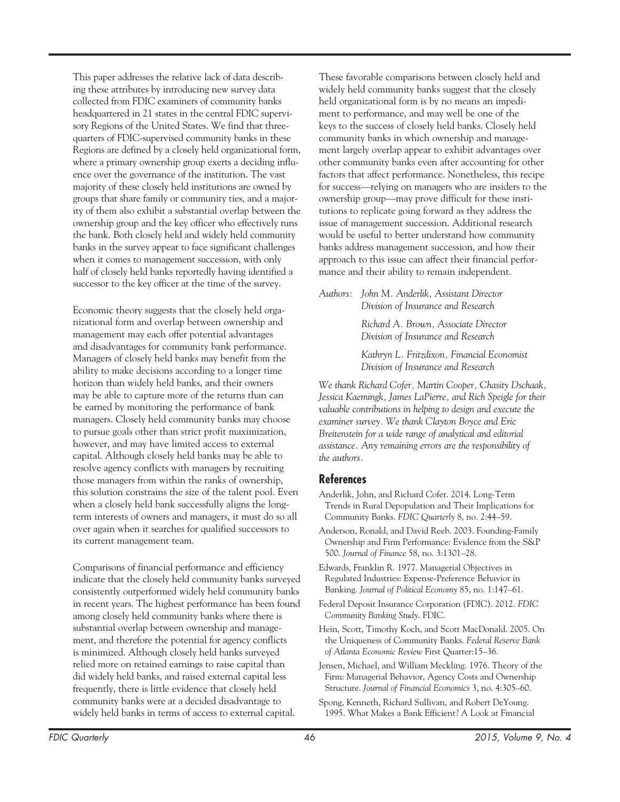This paper addresses the relative lack of data describing these attributes by introducing new survey data collected from FDIC examiners of community banks headquartered in 21 states in the central FDIC supervisory Regions of the United States. We find that threequarters of FDIC-supervised community banks in these Regions are defined by a closely held organizational form, where a primary ownership group exerts a deciding influence over the governance of the institution. The vast majority of these closely held institutions are owned by groups that share family or community ties, and a majority of them also exhibit a substantial overlap between the ownership group and the key officer who effectively runs the bank. Both closely held and widely held community banks in the survey appear to face significant challenges when it comes to management succession, with only half of closely held banks reportedly having identified a successor to the key officer at the time of the survey.

Economic theory suggests that the closely held organizational form and overlap between ownership and management may each offer potential advantages and disadvantages for community bank performance. Managers of closely held banks may benefit from the ability to make decisions according to a longer time horizon than widely held banks, and their owners may be able to capture more of the returns than can be earned by monitoring the performance of bank managers. Closely held community banks may choose to pursue goals other than strict profit maximization, however, and may have limited access to external capital. Although closely held banks may be able to resolve agency conflicts with managers by recruiting those managers from within the ranks of ownership, this solution constrains the size of the talent pool. Even when a closely held bank successfully aligns the longterm interests of owners and managers, it must do so all over again when it searches for qualified successors to its current management team.

Comparisons of financial performance and efficiency indicate that the closely held community banks surveyed consistently outperformed widely held community banks in recent years. The highest performance has been found among closely held community banks where there is substantial overlap between ownership and management, and therefore the potential for agency conflicts is minimized. Although closely held banks surveyed relied more on retained earnings to raise capital than did widely held banks, and raised external capital less frequently, there is little evidence that closely held community banks were at a decided disadvantage to widely held banks in terms of access to external capital.

These favorable comparisons between closely held and widely held community banks suggest that the closely held organizational form is by no means an impediment to performance, and may well be one of the keys to the success of closely held banks. Closely held community banks in which ownership and management largely overlap appear to exhibit advantages over other community banks even after accounting for other factors that affect performance. Nonetheless, this recipe for success—relying on managers who are insiders to the ownership group—may prove difficult for these institutions to replicate going forward as they address the issue of management succession. Additional research would be useful to better understand how community banks address management succession, and how their approach to this issue can affect their financial performance and their ability to remain independent.

*Authors: John M. Anderlik, Assistant Director Division of Insurance and Research*

> *Richard A. Brown, Associate Director Division of Insurance and Research*

*Kathryn L. Fritzdixon, Financial Economist Division of Insurance and Research*

*We thank Richard Cofer, Martin Cooper, Chasity Dschaak, Jessica Kaemingk, James LaPierre, and Rich Speigle for their valuable contributions in helping to design and execute the examiner survey. We thank Clayton Boyce and Eric Breitenstein for a wide range of analytical and editorial assistance. Any remaining errors are the responsibility of the authors.*

### **References**

- Anderlik, John, and Richard Cofer. 2014. Long-Term Trends in Rural Depopulation and Their Implications for Community Banks. *FDIC Quarterly* 8, no. 2:44–59.
- Anderson, Ronald, and David Reeb. 2003. Founding-Family Ownership and Firm Performance: Evidence from the S&P 500. *Journal of Finance* 58, no. 3:1301–28.
- Edwards, Franklin R. 1977. Managerial Objectives in Regulated Industries: Expense-Preference Behavior in Banking. *Journal of Political Economy* 85, no. 1:147–61.
- Federal Deposit Insurance Corporation (FDIC). 2012. *FDIC Community Banking Study*. FDIC.
- Hein, Scott, Timothy Koch, and Scott MacDonald. 2005. On the Uniqueness of Community Banks. *Federal Reserve Bank of Atlanta Economic Review* First Quarter:15–36.
- Jensen, Michael, and William Meckling. 1976. Theory of the Firm: Managerial Behavior, Agency Costs and Ownership Structure. *Journal of Financial Economics* 3, no. 4:305–60.
- Spong, Kenneth, Richard Sullivan, and Robert DeYoung. 1995. What Makes a Bank Efficient? A Look at Financial